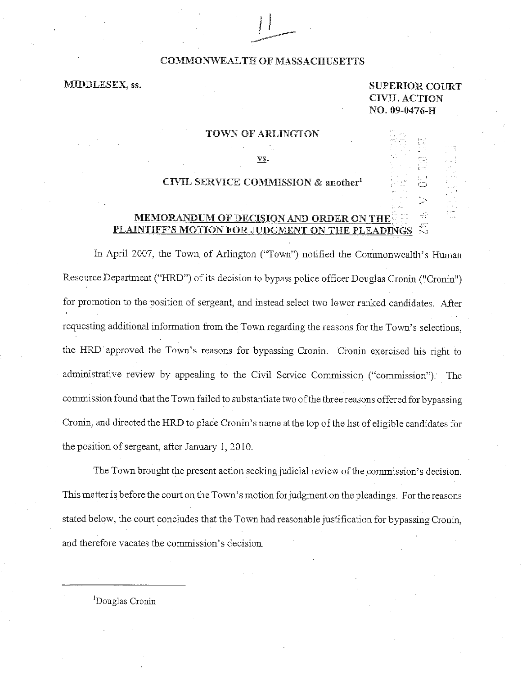### COMMONWEALTH OF MASSACHUSETTS

# MIDDLESEX, ss.

# SUPERIOR COURT VIL ACTION NO. 09-0476-H

#### TOWN OF ARLINGTON

VS.

### CIVIL SERVICE COMMISSION & another<sup>1</sup>

# MEMORANDUM OF DECISION AND ORDER ON THE. PLAINTIFF'S MOTION FOR JUDGMENT ON THE PLEADINGS

In April 2007, the Town of Arlington ("Town") notified the Commonwealth's Human Resource Department ("HRD") of its decision to bypass police officer Douglas Cronin ("Cronin") for promotion to the position of sergeant, and instead select two lower ranked candidates. After requesting additional information from the Town regarding the reasons for the Town's selections, the HRD approved the Town's reasons for bypassing Cronin. Cronin exercised his right to administrative review by appealing to the Civil Service Commission ("commission"). The commission found that the Town failed to substantiate two of the three reasons offered for bypassing Cronin, and directed the HRD to place Cronin's name at the top of the list of eligible candidates for the position of sergeant, after January 1, 2010.

The Town brought the present action seeking judicial review of the commission's decision. This matter is before the court on the Town's motion for judgment on the pleadings. For the reasons stated below, the court concludes that the Town had reasonable justification for bypassing Cronin, and therefore vacates the commission's decision.

<sup>1</sup>Douglas Cronin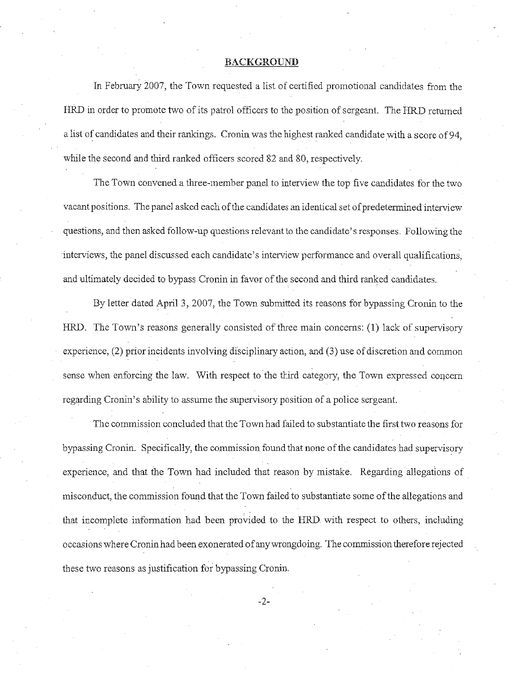## **BACKGROUND**

In February 2007, the Town requested a list of certified promotional candidates from the HRD in order to promote two of its patrol officers to the position of sergeant. The HRD returned a list of candidates and their rankings. Cronin was the highest ranked candidate with a score of 94, while the second and third ranked officers scored 82 and 80, respectively.

The Town convened a three-member panel to interview the top five candidates for the two vacant positions. The panel asked each of the candidates an identical set of predetermined interview questions, and then asked follow-up questions relevant to the candidate's responses. Following the interviews, the panel discussed each candidate's interview performance and overall qualifications, and ultimately decided to bypass Cronin in favor of the second and third ranked candidates.

By letter dated April 3, 2007, the Town submitted its reasons for bypassing Cronin to the HRD. The Town's reasons generally consisted of three main concerns: (1) lack of supervisory experience, (2) prior incidents involving disciplinary action, and (3) use of discretion and common sense when enforcing the law. With respect to the third category, the Town expressed concern regarding Cronin's ability to assume the supervisory position of a police sergeant.

The commission concluded that the Town had failed to substantiate the first two reasons for bypassing Cronin. Specifically, the commission found that none of the candidates had supervisory experience, and that the Town had included that reason by mistake. Regarding allegations of misconduct, the commission found that the Town failed to substantiate some of the allegations and that incomplete information had been provided to the HRD with respect to others, including occasions where Cronin had been exonerated of any wrongdoing. The commission therefore rejected these two reasons as justification for bypassing Cronin.

-2-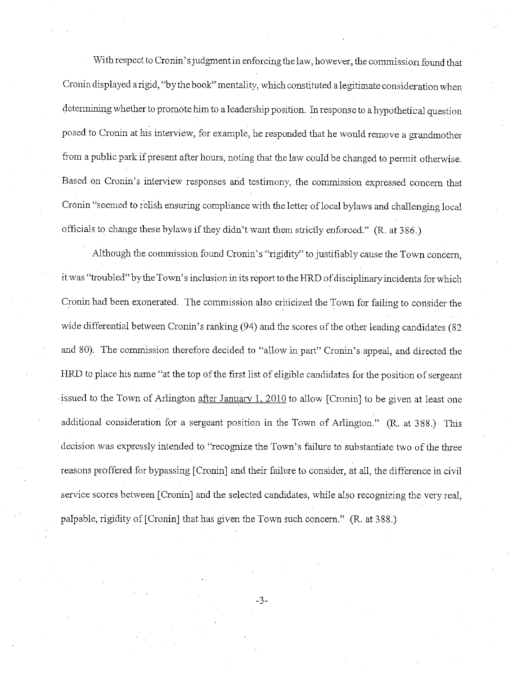With respect to Cronin's judgment in enforcing the law, however, the commission found that Cronin displayed a rigid, "by the book" mentality, which constituted a legitimate consideration when detennining whether to promote him to a leadership position. In response to a hypothetical question posed to Cronin at his interview, for example, he responded that he would remove a grandmother from a public park if present after hours, noting that the law could be changed to permit otherwise. Based on Cronin's interview responses and testimony, the commission expressed concern that Cronin "seemed to relish ensuring compliance with the letter of local bylaws and challenging local officials to change these bylaws if they didn't want them strictly enforced." (R. at 386.)

Although the commission found Cronin's "rigidity" to justifiably cause the Town concern, it was "troubled"bythe Town's inclusion in its report to the HRD of disciplinary incidents for which Cronin had been exonerated. The commission also criticized the Town for failing to consider the wide differential between Cronin's ranking (94) and the scores of the other leading candidates (82 and 80). The commission therefore decided to "allow in.part" Cronin's appeal, and directed the HRD to place his name "at the top of the first list of eligible candidates for the position of sergeant issued to the Town of Arlington after January 1, 2010 to allow [Cronin] to be given at least one additional consideration for a sergeant position in the Town of Arlington." (R. at 388.) This decision was expressly intended to "recognize the Town's failure to substantiate two of the three reasons proffered for bypassing [Cronin] and their failure to consider, at all, the difference in civil service scores between [Cronin] and the selected candidates, while also recognizing the very real, palpable, rigidity of [Cronin] that has given the Town such concern." (R. at 388.)

-3-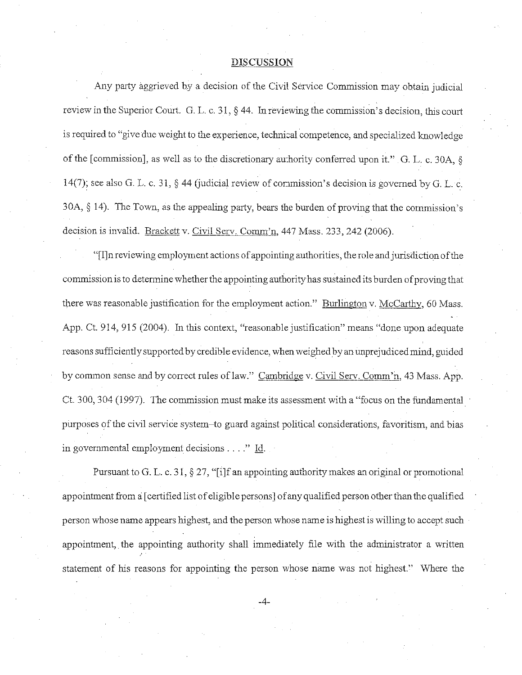#### **DISCUSSION**

Any party aggrieved by a decision of the Civil Service Commission may obtain judicial review in the Superior Court. G. L. c. 31, § 44. In reviewing the commission's decision, this court is required to "give due weight to the experience, technical competence, and specialized knowledge of the [commission], as well as to the discretionary authority conferred upon it." G. L. c. 30A, § 14(7); see also G. L. c. 31, § 44 (judicial review of commission's decision is governed by G. L. c. 30A, § 14). The Town, as the appealing party, bears the burden of proving that the commission's decision is invalid. Brackett v. Civil Serv. Comm'n, 447 Mass. 233, 242 (2006).

"[I]nreviewing employment actions of appointing authorities, the role and jurisdiction of the commission is to detennine whether the appointing authority has sustained its burden of proving that there was reasonable justification for the employment action." Burlington v. McCarthy, 60 Mass. App. Ct. 914, 915 (2004). In this context, "reasonable justification" means "done upon adequate reasons sufficiently supported by credible evidence, when weighed by an unprejudiced mind, guided by common sense and by correct rules of law." Cambridge v. Civil Serv. Comm'n, 43 Mass. App. Ct. 300, 304 (1997). The commission must make its assessment with a "focus on the fundamental purposes of the civil service system-to guard against political considerations, favoritism, and bias in govemmental employment decisions .... " Id.

Pursuant to G. L. c. 31, § 27, "[i]f an appointing authority makes an original or promotional appointment from a: [ certified list of eligible persons J of any qualified person other than the qualified person whose name appears highest, and the person whose name is highest is willing to accept such appointment, the appointing authority shall immediately file with the administrator a written statement of his reasons for appointing the person whose name was not highest." Where the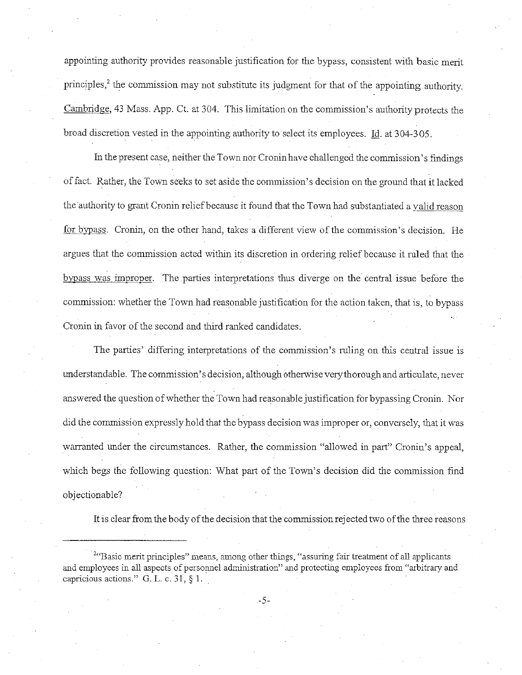appointing authority provides reasonable justification for the bypass, consistent with basic merit principles,<sup>2</sup> the commission may not substitute its judgment for that of the appointing authority. Cambridge, 43 Mass. App. Ct. at 304. This limitation on the commission's authority protects the broad discretion vested in the appointing authority to select its employees. Id. at 304-305.

In the present case, neither the Town nor Cronin have challenged the commission's fmdings of fact. Rather, the Town seeks to set aside the commission's decision on the ground that it lacked the authority to grant Cronin relief because it found that the Town had substantiated a valid reason for bypass. Cronin, on the other hand, takes a different view of the commission's decision. He argues that the commission acted within its discretion in ordering relief because it ruled that the bypass was improper. The parties interpretations thus diverge on the central issue before the commission: whether the Town had reasonable justification for the action taken, that is, to bypass Cronin in favor of the second and third ranked candidates.

The parties' differing interpretations of the commission's ruling on this central issue is understandable. The commission's decision, although otherwise very thorough and articulate, never answered the question of whether the Town had reasonable justification for bypassing Cronin. Nor did the commission expressly hold that the bypass decision was improper or, conversely, that it was warranted under the circumstances. Rather, the commission "allowed in par<sup>t</sup>" Cronin's appeal, which begs the following question: What part of the Town's decision did the commission find objectionable?

It is clear from the body of the decision that the commission rejected two of the three reasons

-5-

<sup>&</sup>lt;sup>2"</sup>Basic merit principles" means, among other things, "assuring fair treatment of all applicants" and employees in all aspects of personnel administration" and protecting employees from "arbitrary and capricious actions." G. L. c. 31, § 1.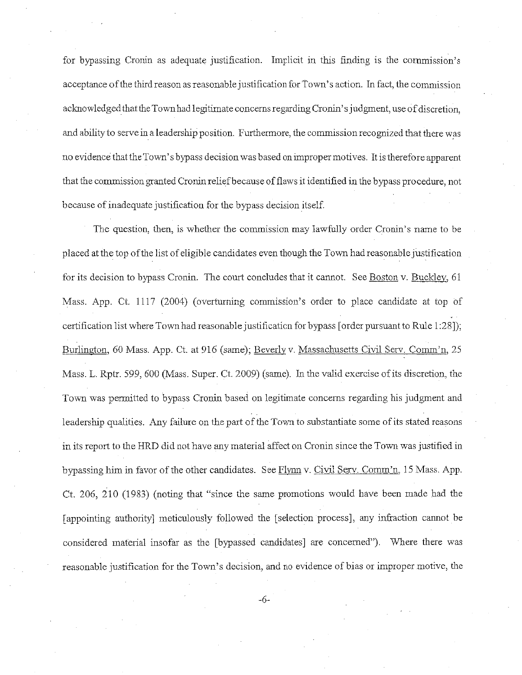for bypassing Cronin as adequate justification. Implicit in this finding is the commission's acceptance of the third reason as reasonable justification for Town's action. In fact, the commission acknowledged that the Town had legitimate concerns regarding Cronin's judgment, use of discretion, and ability to serve in a leadership position. Furthermore, the commission recognized that there was no evidence that the Town's bypass decision was based on improper motives. It is therefore apparent that the commission granted Cronin reliefbecause of flaws it identified in the bypass procedure, not because of inadequate justification for the bypass decision itself.

The question, then, is whether the commission may lawfully order Cronin's name to be placed at the top of the list of eligible candidates even though the Town had reasonable justification for its decision to bypass Cronin. The court concludes that it cannot. See Boston v. Buckley, 61 Mass. App. Ct. 1117 (2004) (overtuming commission's order to place candidate at top of certification list where Town had reasonable justification for bypass [ order pursuant to Rule 1 :28]); Burlington, 60 Mass. App. Ct. at 916 (same); Beverly v. Massachusetts Civil Serv. Comm'n, 25 Mass. L. Rptr. 599, 600 (Mass. Super. Ct. 2009) (same). In the valid exercise of its discretion, the Town was permitted to bypass Cronin based on legitimate concerns regarding his judgment and leadership qualities. Any failure on the part of the Town to substantiate some of its stated reasons in its report to the HRD did not have any material affect on Cronin since the Town was justified in bypassing him in favor of the other candidates. See Flynn v. Civil Serv. Comm'n, 15 Mass. App. Ct. 206, 210 (1983) (noting that "since the same promotions would have been made had the [appointing authority] meticulously followed the [selection process], any infraction cannot be considered material insofar as the [bypassed candidates] are concerned"). Where there was reasonable justification for the Town's decision, and no evidence of bias or improper motive, the

-6-